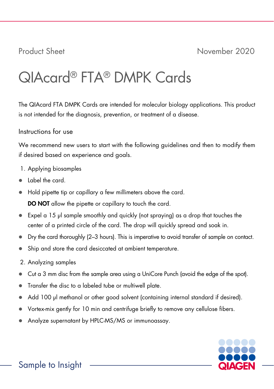# QIAcard® FTA® DMPK Cards

The QIAcard FTA DMPK Cards are intended for molecular biology applications. This product is not intended for the diagnosis, prevention, or treatment of a disease.

# Instructions for use

We recommend new users to start with the following guidelines and then to modify them if desired based on experience and goals.

- 1. Applying biosamples
- Label the card.
- Hold pipette tip or capillary a few millimeters above the card.

DO NOT allow the pipette or capillary to touch the card.

- $\bullet$  Expel a 15 µl sample smoothly and quickly (not spraying) as a drop that touches the center of a printed circle of the card. The drop will quickly spread and soak in.
- Dry the card thoroughly (2–3 hours). This is imperative to avoid transfer of sample on contact.
- Ship and store the card desiccated at ambient temperature.
- 2. Analyzing samples
- Cut a 3 mm disc from the sample area using a UniCore Punch (avoid the edge of the spot).
- Transfer the disc to a labeled tube or multiwell plate.
- Add 100 µl methanol or other good solvent (containing internal standard if desired).
- Vortex-mix gently for 10 min and centrifuge briefly to remove any cellulose fibers.
- Analyze supernatant by HPLC-MS/MS or immunoassay.

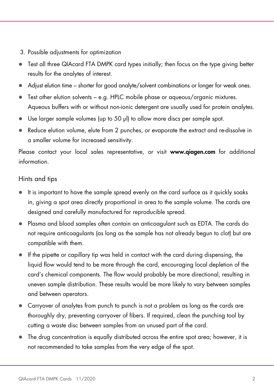- 3. Possible adjustments for optimization
- Test all three QIAcard FTA DMPK card types initially; then focus on the type giving better results for the analytes of interest.
- Adjust elution time shorter for good analyte/solvent combinations or longer for weak ones.
- Test other elution solvents e.g. HPLC mobile phase or aqueous/organic mixtures. Aqueous buffers with or without non-ionic detergent are usually used for protein analytes.
- Use larger sample volumes (up to 50 µl) to allow more discs per sample spot.
- Reduce elution volume, elute from 2 punches, or evaporate the extract and re-dissolve in a smaller volume for increased sensitivity.

Please contact your local sales representative, or visit www.qiagen.com for additional information.

### Hints and tips

- It is important to have the sample spread evenly on the card surface as it quickly soaks in, giving a spot area directly proportional in area to the sample volume. The cards are designed and carefully manufactured for reproducible spread.
- Plasma and blood samples often contain an anticoagulant such as EDTA. The cards do not require anticoagulants (as long as the sample has not already begun to clot) but are compatible with them.
- If the pipette or capillary tip was held in contact with the card during dispensing, the liquid flow would tend to be more through the card, encouraging local depletion of the card's chemical components. The flow would probably be more directional, resulting in uneven sample distribution. These results would be more likely to vary between samples and between operators.
- Carryover of analytes from punch to punch is not a problem as long as the cards are thoroughly dry, preventing carryover of fibers. If required, clean the punching tool by cutting a waste disc between samples from an unused part of the card.
- The drug concentration is equally distributed across the entire spot area; however, it is not recommended to take samples from the very edge of the spot.